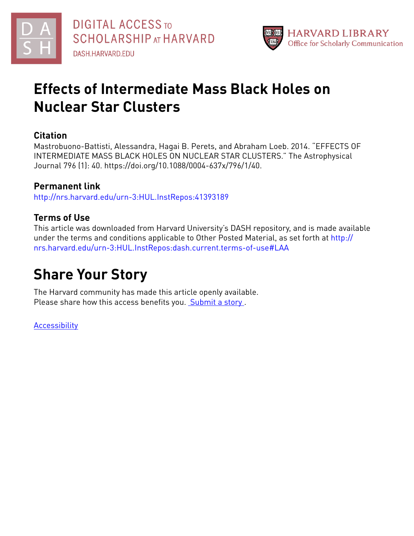



## **Effects of Intermediate Mass Black Holes on Nuclear Star Clusters**

### **Citation**

Mastrobuono-Battisti, Alessandra, Hagai B. Perets, and Abraham Loeb. 2014. "EFFECTS OF INTERMEDIATE MASS BLACK HOLES ON NUCLEAR STAR CLUSTERS." The Astrophysical Journal 796 (1): 40. https://doi.org/10.1088/0004-637x/796/1/40.

## **Permanent link**

<http://nrs.harvard.edu/urn-3:HUL.InstRepos:41393189>

## **Terms of Use**

This article was downloaded from Harvard University's DASH repository, and is made available under the terms and conditions applicable to Other Posted Material, as set forth at [http://](http://nrs.harvard.edu/urn-3:HUL.InstRepos:dash.current.terms-of-use#LAA) [nrs.harvard.edu/urn-3:HUL.InstRepos:dash.current.terms-of-use#LAA](http://nrs.harvard.edu/urn-3:HUL.InstRepos:dash.current.terms-of-use#LAA)

# **Share Your Story**

The Harvard community has made this article openly available. Please share how this access benefits you. [Submit](http://osc.hul.harvard.edu/dash/open-access-feedback?handle=&title=Effects%20of%20Intermediate%20Mass%20Black%20Holes%20on%20Nuclear%20Star%20Clusters&community=1/1&collection=1/2&owningCollection1/2&harvardAuthors=2428d1484dfcb0d1388d24e510a904f4&department) a story.

[Accessibility](https://dash.harvard.edu/pages/accessibility)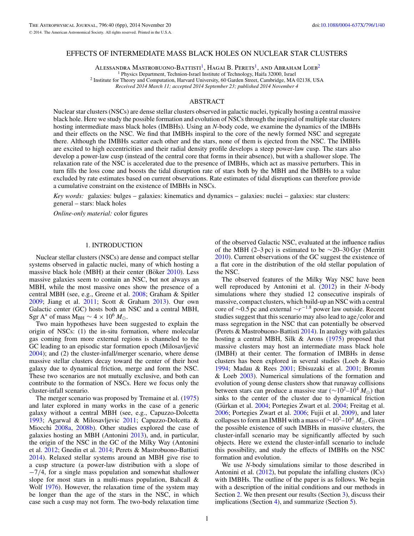#### EFFECTS OF INTERMEDIATE MASS BLACK HOLES ON NUCLEAR STAR CLUSTERS

ALESSANDRA MASTROBUONO-BATTISTI<sup>1</sup>, HAGAI B. PERETS<sup>1</sup>, AND ABRAHAM LOEB<sup>2</sup><sup>1</sup> Physics Department, Technion-Israel Institute of Technology, Haifa 32000, Israel

<sup>2</sup> Institute for Theory and Computation, Harvard University, 60 Garden Street, Cambridge, MA 02138, USA

*Received 2014 March 11; accepted 2014 September 23; published 2014 November 4*

#### ABSTRACT

Nuclear star clusters (NSCs) are dense stellar clusters observed in galactic nuclei, typically hosting a central massive black hole. Here we study the possible formation and evolution of NSCs through the inspiral of multiple star clusters hosting intermediate mass black holes (IMBHs). Using an *N*-body code, we examine the dynamics of the IMBHs and their effects on the NSC. We find that IMBHs inspiral to the core of the newly formed NSC and segregate there. Although the IMBHs scatter each other and the stars, none of them is ejected from the NSC. The IMBHs are excited to high eccentricities and their radial density profile develops a steep power-law cusp. The stars also develop a power-law cusp (instead of the central core that forms in their absence), but with a shallower slope. The relaxation rate of the NSC is accelerated due to the presence of IMBHs, which act as massive perturbers. This in turn fills the loss cone and boosts the tidal disruption rate of stars both by the MBH and the IMBHs to a value excluded by rate estimates based on current observations. Rate estimates of tidal disruptions can therefore provide a cumulative constraint on the existence of IMBHs in NSCs.

*Key words:* galaxies: bulges – galaxies: kinematics and dynamics – galaxies: nuclei – galaxies: star clusters: general – stars: black holes

*Online-only material:* color figures

### 1. INTRODUCTION

Nuclear stellar clusters (NSCs) are dense and compact stellar systems observed in galactic nuclei, many of which hosting a massive black hole (MBH) at their center (Böker [2010\)](#page-6-0). Less massive galaxies seem to contain an NSC, but not always an MBH, while the most massive ones show the presence of a central MBH (see, e.g., Greene et al. [2008;](#page-6-0) Graham & Spitler [2009;](#page-6-0) Jiang et al. [2011;](#page-6-0) Scott & Graham [2013\)](#page-6-0). Our own Galactic center (GC) hosts both an NSC and a central MBH, Sgr A<sup>∗</sup> of mass M<sub>BH</sub>  $\sim$  4 × 10<sup>6</sup> M<sub> $\odot$ </sub>.

Two main hypotheses have been suggested to explain the origin of NSCs: (1) the in-situ formation, where molecular gas coming from more external regions is channeled to the GC leading to an episodic star formation epoch (Milosavljević [2004\)](#page-6-0); and (2) the cluster-infall/merger scenario, where dense massive stellar clusters decay toward the center of their host galaxy due to dynamical friction, merge and form the NSC. These two scenarios are not mutually exclusive, and both can contribute to the formation of NSCs. Here we focus only the cluster-infall scenario.

The merger scenario was proposed by Tremaine et al. [\(1975\)](#page-6-0) and later explored in many works in the case of a generic galaxy without a central MBH (see, e.g., Capuzzo-Dolcetta [1993;](#page-6-0) Agarwal & Milosavljevic [2011;](#page-6-0) Capuzzo-Dolcetta & Miocchi [2008a,](#page-6-0) [2008b\)](#page-6-0). Other studies explored the case of galaxies hosting an MBH (Antonini [2013\)](#page-6-0), and, in particular, the origin of the NSC in the GC of the Milky Way (Antonini et al. [2012;](#page-6-0) Gnedin et al. [2014;](#page-6-0) Perets & Mastrobuono-Battisti [2014\)](#page-6-0). Relaxed stellar systems around an MBH give rise to a cusp structure (a power-law distribution with a slope of −7*/*4, for a single mass population and somewhat shallower slope for most stars in a multi-mass population, Bahcall & Wolf [1976\)](#page-6-0). However, the relaxation time of the system may be longer than the age of the stars in the NSC, in which case such a cusp may not form. The two-body relaxation time

of the observed Galactic NSC, evaluated at the influence radius of the MBH (2–3 pc) is estimated to be  $\sim$ 20–30 Gyr (Merritt [2010\)](#page-6-0). Current observations of the GC suggest the existence of a flat core in the distribution of the old stellar population of the NSC.

The observed features of the Milky Way NSC have been well reproduced by Antonini et al. [\(2012\)](#page-6-0) in their *N*-body simulations where they studied 12 consecutive inspirals of massive, compact clusters, which build-up an NSC with a central core of <sup>∼</sup>0*.*5 pc and external <sup>∼</sup>*r*−1*.*<sup>8</sup> power law outside. Recent studies suggest that this scenario may also lead to age*/*color and mass segregation in the NSC that can potentially be observed (Perets  $& {\text{Master}}$  Mastrobuono-Battisti [2014\)](#page-6-0). In analogy with galaxies hosting a central MBH, Silk & Arons [\(1975\)](#page-6-0) proposed that massive clusters may host an intermediate mass black hole (IMBH) at their center. The formation of IMBHs in dense clusters has been explored in several studies (Loeb & Rasio [1994;](#page-6-0) Madau & Rees [2001;](#page-6-0) Ebisuzaki et al. [2001;](#page-6-0) Bromm & Loeb [2003\)](#page-6-0). Numerical simulations of the formation and evolution of young dense clusters show that runaway collisions between stars can produce a massive star ( $\sim$ 10<sup>2</sup>–10<sup>4</sup>  $M_{\odot}$ ) that sinks to the center of the cluster due to dynamical friction (Gürkan et al. [2004;](#page-6-0) Portegies Zwart et al. 2004; Freitag et al. [2006;](#page-6-0) Portegies Zwart et al. [2006;](#page-6-0) Fujii et al. [2009\)](#page-6-0), and later collapses to form an IMBH with a mass of ~10<sup>2</sup>–10<sup>4</sup> *M*<sub>⊙</sub>. Given the possible existence of such IMBHs in massive clusters, the cluster-infall scenario may be significantly affected by such objects. Here we extend the cluster-infall scenario to include this possibility, and study the effects of IMBHs on the NSC formation and evolution.

We use *N*-body simulations similar to those described in Antonini et al. [\(2012\)](#page-6-0), but populate the infalling clusters (ICs) with IMBHs. The outline of the paper is as follows. We begin with a description of the initial conditions and our methods in Section [2.](#page-2-0) We then present our results (Section [3\)](#page-2-0), discuss their implications (Section [4\)](#page-4-0), and summarize (Section [5\)](#page-6-0).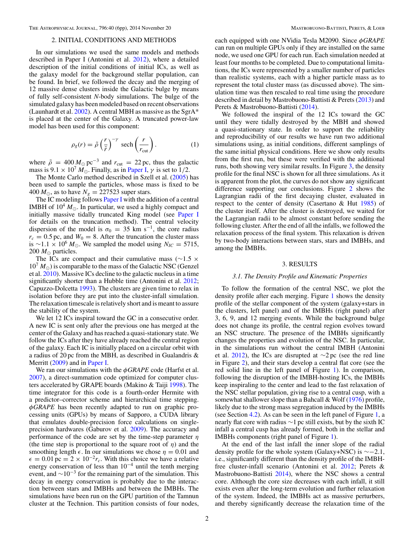#### 2. INITIAL CONDITIONS AND METHODS

<span id="page-2-0"></span>In our simulations we used the same models and methods described in Paper I (Antonini et al. [2012\)](#page-6-0), where a detailed description of the initial conditions of initial ICs, as well as the galaxy model for the background stellar population, can be found. In brief, we followed the decay and the merging of 12 massive dense clusters inside the Galactic bulge by means of fully self-consistent *N*-body simulations. The bulge of the simulated galaxy has been modeled based on recent observations (Launhardt et al. [2002\)](#page-6-0). A central MBH as massive as the SgrA $*$ is placed at the center of the Galaxy. A truncated power-law model has been used for this component:

$$
\rho_g(r) = \tilde{\rho} \left(\frac{r}{\tilde{r}}\right)^{-\gamma} \text{sech}\left(\frac{r}{r_{\text{cut}}}\right). \tag{1}
$$

where  $\tilde{\rho} = 400 M_{\odot} \text{pc}^{-3}$  and  $r_{\text{cut}} = 22 \text{ pc}$ , thus the galactic mass is  $9.1 \times 10^7 M_{\odot}$ . Finally, as in [Paper I,](#page-6-0)  $\gamma$  is set to 1/2.

The Monte Carlo method described in Szell et al. [\(2005\)](#page-6-0) has been used to sample the particles, whose mass is fixed to be 400  $M_{\odot}$ , as to have  $N_g = 227523$  super stars.

The IC modeling follows [Paper I](#page-6-0) with the addition of a central IMBH of  $10^4 M_{\odot}$ . In particular, we used a highly compact and initially massive tidally truncated King model (see [Paper I](#page-6-0) for details on the truncation method). The central velocity dispersion of the model is  $\sigma_0 = 35$  km s<sup>-1</sup>, the core radius  $r_c = 0.5$  pc, and  $W_0 = 8$ . After the truncation the cluster mass is ∼1.1 × 10<sup>6</sup>  $M_{\odot}$ . We sampled the model using  $N_{IC} = 5715$ , 200  $M_{\odot}$  particles.

The ICs are compact and their cumulative mass (∼1*.*5 ×  $10^{7}$   $M_{\odot}$ ) is comparable to the mass of the Galactic NSC (Genzel et al. [2010\)](#page-6-0). Massive ICs decline to the galactic nucleus in a time significantly shorter than a Hubble time (Antonini et al. [2012;](#page-6-0) Capuzzo-Dolcetta [1993\)](#page-6-0). The clusters are given time to relax in isolation before they are put into the cluster-infall simulation. The relaxation timescale is relatively short and is meant to assure the stability of the system.

We let 12 ICs inspiral toward the GC in a consecutive order. A new IC is sent only after the previous one has merged at the center of the Galaxy and has reached a quasi-stationary state. We follow the ICs after they have already reached the central region of the galaxy. Each IC is initially placed on a circular orbit with a radius of 20 pc from the MBH, as described in Gualandris & Merritt [\(2009\)](#page-6-0) and in [Paper I.](#page-6-0)

We ran our simulations with the *φGRAPE* code (Harfst et al. [2007\)](#page-6-0), a direct-summation code optimized for computer clusters accelerated by GRAPE boards (Makino & Taiji [1998\)](#page-6-0). The time integrator for this code is a fourth-order Hermite with a predictor–corrector scheme and hierarchical time stepping. *φGRAPE* has been recently adapted to run on graphic processing units (GPUs) by means of Sapporo, a CUDA library that emulates double-precision force calculations on singleprecision hardwares (Gaburov et al. [2009\)](#page-6-0). The accuracy and performance of the code are set by the time-step parameter *η* (the time step is proportional to the square root of *η*) and the smoothing length  $\epsilon$ . In our simulations we chose  $\eta = 0.01$  and  $\epsilon = 0.01$  pc = 2 × 10<sup>-2</sup> $r_c$ . With this choice we have a relative energy conservation of less than  $10^{-4}$  until the tenth merging event, and  $\sim 10^{-3}$  for the remaining part of the simulation. This decay in energy conservation is probably due to the interaction between stars and IMBHs and between the IMBHs. The simulations have been run on the GPU partition of the Tamnun cluster at the Technion. This partition consists of four nodes,

each equipped with one NVidia Tesla M2090. Since *φGRAPE* can run on multiple GPUs only if they are installed on the same node, we used one GPU for each run. Each simulation needed at least four months to be completed. Due to computational limitations, the ICs were represented by a smaller number of particles than realistic systems, each with a higher particle mass as to represent the total cluster mass (as discussed above). The simulation time was then rescaled to real time using the procedure described in detail by Mastrobuono-Battisti & Perets [\(2013\)](#page-6-0) and Perets & Mastrobuono-Battisti [\(2014\)](#page-6-0).

We followed the inspiral of the 12 ICs toward the GC until they were tidally destroyed by the MBH and showed a quasi-stationary state. In order to support the reliability and reproducibility of our results we have run two additional simulations using, as initial conditions, different samplings of the same initial physical conditions. Here we show only results from the first run, but these were verified with the additional runs, both showing very similar results. In Figure [3,](#page-3-0) the density profile for the final NSC is shown for all three simulations. As it is apparent from the plot, the curves do not show any significant difference supporting our conclusions. Figure [2](#page-3-0) shows the Lagrangian radii of the first decaying cluster, evaluated in respect to the center of density (Casertano & Hut [1985\)](#page-6-0) of the cluster itself. After the cluster is destroyed, we waited for the Lagrangian radii to be almost constant before sending the following cluster. After the end of all the infalls, we followed the relaxation process of the final system. This relaxation is driven by two-body interactions between stars, stars and IMBHs, and among the IMBHs.

#### 3. RESULTS

#### *3.1. The Density Profile and Kinematic Properties*

To follow the formation of the central NSC, we plot the density profile after each merging. Figure [1](#page-3-0) shows the density profile of the stellar component of the system (galaxy+stars in the clusters, left panel) and of the IMBHs (right panel) after 3, 6, 9, and 12 merging events. While the background bulge does not change its profile, the central region evolves toward an NSC structure. The presence of the IMBHs significantly changes the properties and evolution of the NSC. In particular, in the simulations run without the central IMBH (Antonini et al. [2012\)](#page-6-0), the ICs are disrupted at  $\sim$ 2 pc (see the red line in Figure [2\)](#page-3-0), and their stars develop a central flat core (see the red solid line in the left panel of Figure [1\)](#page-3-0). In comparison, following the disruption of the IMBH-hosting ICs, the IMBHs keep inspiraling to the center and lead to the fast relaxation of the NSC stellar population, giving rise to a central cusp, with a somewhat shallower slope than a Bahcall & Wolf [\(1976\)](#page-6-0) profile, likely due to the strong mass segregation induced by the IMBHs (see Section [4.2\)](#page-5-0). As can be seen in the left panel of Figure [1,](#page-3-0) a nearly flat core with radius ∼1 pc still exists, but by the sixth IC infall a central cusp has already formed, both in the stellar and IMBHs components (right panel of Figure [1\)](#page-3-0).

At the end of the last infall the inner slope of the radial density profile for the whole system (Galaxy+NSC) is ∼−2*.*1, i.e., significantly different than the density profile of the IMBHfree cluster-infall scenario (Antonini et al. [2012;](#page-6-0) Perets & Mastrobuono-Battisti [2014\)](#page-6-0), where the NSC shows a central core. Although the core size decreases with each infall, it still exists even after the long-term evolution and further relaxation of the system. Indeed, the IMBHs act as massive perturbers, and thereby significantly decrease the relaxation time of the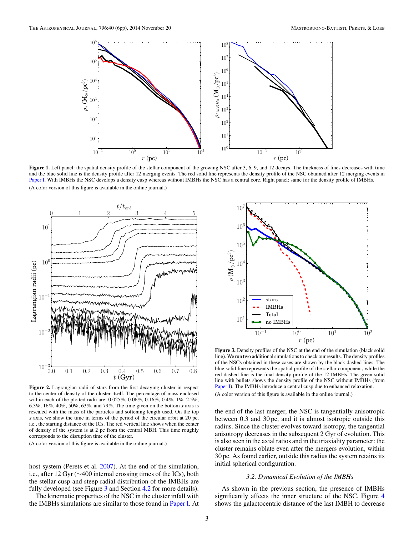<span id="page-3-0"></span>

Figure 1. Left panel: the spatial density profile of the stellar component of the growing NSC after 3, 6, 9, and 12 decays. The thickness of lines decreases with time and the blue solid line is the density profile after 12 merging events. The red solid line represents the density profile of the NSC obtained after 12 merging events in [Paper I.](#page-6-0) With IMBHs the NSC develops a density cusp whereas without IMBHs the NSC has a central core. Right panel: same for the density profile of IMBHs. (A color version of this figure is available in the online journal.)



**Figure 2.** Lagrangian radii of stars from the first decaying cluster in respect to the center of density of the cluster itself. The percentage of mass enclosed within each of the plotted radii are: 0.025%, 0.06%, 0.16%, 0.4%, 1%, 2.5%, 6.3%, 16%, 40%, 50%, 63%, and 79%. The time given on the bottom *x* axis is rescaled with the mass of the particles and softening length used. On the top *x* axis, we show the time in terms of the period of the circular orbit at 20 pc, i.e., the starting distance of the ICs. The red vertical line shows when the center of density of the system is at 2 pc from the central MBH. This time roughly corresponds to the disruption time of the cluster.

(A color version of this figure is available in the online journal.)

host system (Perets et al. [2007\)](#page-6-0). At the end of the simulation, i.e., after 12 Gyr (∼400 internal crossing times of the ICs), both the stellar cusp and steep radial distribution of the IMBHs are fully developed (see Figure 3 and Section [4.2](#page-5-0) for more details).

The kinematic properties of the NSC in the cluster infall with the IMBHs simulations are similar to those found in [Paper I.](#page-6-0) At



**Figure 3.** Density profiles of the NSC at the end of the simulation (black solid line). We run two additional simulations to check our results. The density profiles of the NSCs obtained in these cases are shown by the black dashed lines. The blue solid line represents the spatial profile of the stellar component, while the red dashed line is the final density profile of the 12 IMBHs. The green solid line with bullets shows the density profile of the NSC without IMBHs (from [Paper I\)](#page-6-0). The IMBHs introduce a central cusp due to enhanced relaxation. (A color version of this figure is available in the online journal.)

the end of the last merger, the NSC is tangentially anisotropic between 0*.*3 and 30 pc, and it is almost isotropic outside this radius. Since the cluster evolves toward isotropy, the tangential anisotropy decreases in the subsequent 2 Gyr of evolution. This is also seen in the axial ratios and in the triaxiality parameter: the cluster remains oblate even after the mergers evolution, within 30 pc. As found earlier, outside this radius the system retains its initial spherical configuration.

#### *3.2. Dynamical Evolution of the IMBHs*

As shown in the previous section, the presence of IMBHs significantly affects the inner structure of the NSC. Figure [4](#page-4-0) shows the galactocentric distance of the last IMBH to decrease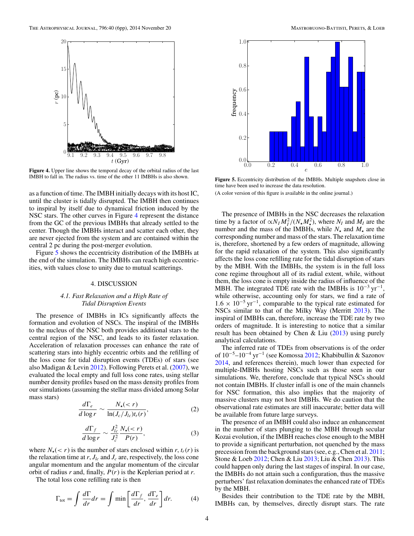<span id="page-4-0"></span>

**Figure 4.** Upper line shows the temporal decay of the orbital radius of the last IMBH to fall in. The radius vs. time of the other 11 IMBHs is also shown.

as a function of time. The IMBH initially decays with its host IC, until the cluster is tidally disrupted. The IMBH then continues to inspiral by itself due to dynamical friction induced by the NSC stars. The other curves in Figure 4 represent the distance from the GC of the previous IMBHs that already settled to the center. Though the IMBHs interact and scatter each other, they are never ejected from the system and are contained within the central 2 pc during the post-merger evolution.

Figure 5 shows the eccentricity distribution of the IMBHs at the end of the simulation. The IMBHs can reach high eccentricities, with values close to unity due to mutual scatterings.

#### 4. DISCUSSION

#### *4.1. Fast Relaxation and a High Rate of Tidal Disruption Events*

The presence of IMBHs in ICs significantly affects the formation and evolution of NSCs. The inspiral of the IMBHs to the nucleus of the NSC both provides additional stars to the central region of the NSC, and leads to its faster relaxation. Acceleration of relaxation processes can enhance the rate of scattering stars into highly eccentric orbits and the refilling of the loss cone for tidal disruption events (TDEs) of stars (see also Madigan & Levin [2012\)](#page-6-0). Following Perets et al. [\(2007\)](#page-6-0), we evaluated the local empty and full loss cone rates, using stellar number density profiles based on the mass density profiles from our simulations (assuming the stellar mass divided among Solar mass stars)

$$
\frac{d\Gamma_e}{d\log r} \sim \frac{N_\star(
$$

$$
\frac{d\Gamma_f}{d\log r} \sim \frac{J_{lc}^2}{J_c^2} \frac{N_{\star}(< r)}{P(r)},\tag{3}
$$

where  $N_{\star}(< r)$  is the number of stars enclosed within *r*,  $t_r(r)$  is the relaxation time at  $r$ ,  $J_{lc}$  and  $J_c$  are, respectively, the loss cone angular momentum and the angular momentum of the circular orbit of radius *r* and, finally, *P*(*r*) is the Keplerian period at *r*.

The total loss cone refilling rate is then

$$
\Gamma_{\text{tot}} = \int \frac{d\Gamma}{dr} dr = \int \min \left[ \frac{d\Gamma_f}{dr}, \frac{d\Gamma_e}{dr} \right] dr. \tag{4}
$$



**Figure 5.** Eccentricity distribution of the IMBHs. Multiple snapshots close in time have been used to increase the data resolution.

(A color version of this figure is available in the online journal.)

The presence of IMBHs in the NSC decreases the relaxation time by a factor of  $\alpha N_I M_I^2 / (N_\star M_\star^2)$ , where  $N_I$  and  $M_I$  are the number and the mass of the IMBHs, while  $N_{\star}$  and  $M_{\star}$  are the corresponding number and mass of the stars. The relaxation time is, therefore, shortened by a few orders of magnitude, allowing for the rapid relaxation of the system. This also significantly affects the loss cone refilling rate for the tidal disruption of stars by the MBH. With the IMBHs, the system is in the full loss cone regime throughout all of its radial extent, while, without them, the loss cone is empty inside the radius of influence of the MBH. The integrated TDE rate with the IMBHs is  $10^{-3}$  yr<sup>-1</sup>, while otherwise, accounting only for stars, we find a rate of  $1.6 \times 10^{-5}$  yr<sup>-1</sup>, comparable to the typical rate estimated for NSCs similar to that of the Milky Way (Merritt [2013\)](#page-6-0). The inspiral of IMBHs can, therefore, increase the TDE rate by two orders of magnitude. It is interesting to notice that a similar result has been obtained by Chen & Liu [\(2013\)](#page-6-0) using purely analytical calculations.

The inferred rate of TDEs from observations is of the order of 10−5–10−<sup>4</sup> yr−<sup>1</sup> (see Komossa [2012;](#page-6-0) Khabibullin & Sazonov [2014,](#page-6-0) and references therein), much lower than expected for multiple-IMBHs hosting NSCs such as those seen in our simulations. We, therefore, conclude that typical NSCs should not contain IMBHs. If cluster infall is one of the main channels for NSC formation, this also implies that the majority of massive clusters may not host IMBHs. We do caution that the observational rate estimates are still inaccurate; better data will be available from future large surveys.

The presence of an IMBH could also induce an enhancement in the number of stars plunging to the MBH through secular Kozai evolution, if the IMBH reaches close enough to the MBH to provide a significant perturbation, not quenched by the mass precession from the background stars (see, e.g., Chen et al. [2011;](#page-6-0) Stone & Loeb [2012;](#page-6-0) Chen & Liu [2013;](#page-6-0) Liu & Chen [2013\)](#page-6-0). This could happen only during the last stages of inspiral. In our case, the IMBHs do not attain such a configuration, thus the massive perturbers' fast relaxation dominates the enhanced rate of TDEs by the MBH.

Besides their contribution to the TDE rate by the MBH, IMBHs can, by themselves, directly disrupt stars. The rate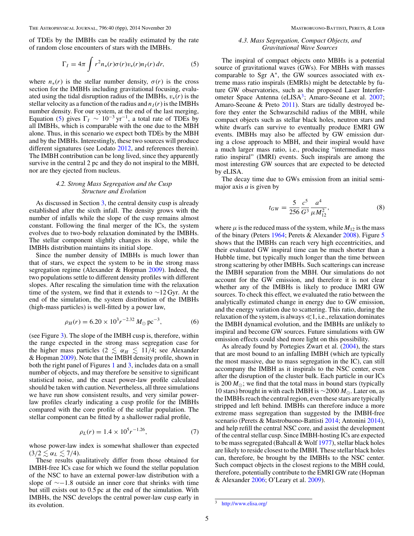<span id="page-5-0"></span>of TDEs by the IMBHs can be readily estimated by the rate of random close encounters of stars with the IMBHs.

$$
\Gamma_I = 4\pi \int r^2 n_*(r) \sigma(r) v_*(r) n_I(r) dr, \tag{5}
$$

where  $n_*(r)$  is the stellar number density,  $\sigma(r)$  is the cross section for the IMBHs including gravitational focusing, evaluated using the tidal disruption radius of the IMBHs,  $v_*(r)$  is the stellar velocity as a function of the radius and  $n_I(r)$  is the IMBHs number density. For our system, at the end of the last merging, Equation (5) gives  $\Gamma_I \sim 10^{-3} \,\text{yr}^{-1}$ , a total rate of TDEs by all IMBHs, which is comparable with the one due to the MBH alone. Thus, in this scenario we expect both TDEs by the MBH and by the IMBHs. Interestingly, these two sources will produce different signatures (see Lodato [2012,](#page-6-0) and references therein). The IMBH contribution can be long lived, since they apparently survive in the central 2 pc and they do not inspiral to the MBH, nor are they ejected from nucleus.

#### *4.2. Strong Mass Segregation and the Cusp Structure and Evolution*

As discussed in Section [3,](#page-2-0) the central density cusp is already established after the sixth infall. The density grows with the number of infalls while the slope of the cusp remains almost constant. Following the final merger of the ICs, the system evolves due to two-body relaxation dominated by the IMBHs. The stellar component slightly changes its slope, while the IMBHs distribution maintains its initial slope.

Since the number density of IMBHs is much lower than that of stars, we expect the system to be in the strong mass segregation regime (Alexander & Hopman [2009\)](#page-6-0). Indeed, the two populations settle to different density profiles with different slopes. After rescaling the simulation time with the relaxation time of the system, we find that it extends to  $\sim$ 12 Gyr. At the end of the simulation, the system distribution of the IMBHs (high-mass particles) is well-fitted by a power law,

$$
\rho_H(r) = 6.20 \times 10^3 r^{-2.32} M_\odot \,\text{pc}^{-3},\tag{6}
$$

(see Figure [3\)](#page-3-0). The slope of the IMBH cusp is, therefore, within the range expected in the strong mass segregation case for the higher mass particles ( $2 \le \alpha_H \le 11/4$ ; see Alexander & Hopman [2009\)](#page-6-0). Note that the IMBH density profile, shown in both the right panel of Figures [1](#page-3-0) and [3,](#page-3-0) includes data on a small number of objects, and may therefore be sensitive to significant statistical noise, and the exact power-law profile calculated should be taken with caution. Nevertheless, all three simulations we have run show consistent results, and very similar powerlaw profiles clearly indicating a cusp profile for the IMBHs compared with the core profile of the stellar population. The stellar component can be fitted by a shallower radial profile,

$$
\rho_L(r) = 1.4 \times 10^5 r^{-1.26},\tag{7}
$$

whose power-law index is somewhat shallower than expected  $(3/2 \lesssim \alpha_L \lesssim 7/4).$ 

These results qualitatively differ from those obtained for IMBH-free ICs case for which we found the stellar population of the NSC to have an external power-law distribution with a slope of ∼−1*.*8 outside an inner core that shrinks with time but still exists out to 0*.*5 pc at the end of the simulation. With IMBHs, the NSC develops the central power-law cusp early in its evolution.

#### *4.3. Mass Segregation, Compact Objects, and Gravitational Wave Sources*

The inspiral of compact objects onto MBHs is a potential source of gravitational waves (GWs). For MBHs with masses comparable to Sgr A∗, the GW sources associated with extreme mass ratio inspirals (EMRIs) might be detectable by future GW observatories, such as the proposed Laser Interfer-ometer Space Antenna (eLISA<sup>3</sup>; Amaro-Seoane et al. [2007;](#page-6-0) Amaro-Seoane & Preto [2011\)](#page-6-0). Stars are tidally destroyed before they enter the Schwarzschild radius of the MBH, while compact objects such as stellar black holes, neutron stars and white dwarfs can survive to eventually produce EMRI GW events. IMBHs may also be affected by GW emission during a close approach to MBH, and their inspiral would have a much larger mass ratio, i.e., producing "intermediate mass ratio inspiral" (IMRI) events. Such inspirals are among the most interesting GW sources that are expected to be detected by eLISA.

The decay time due to GWs emission from an initial semimajor axis *a* is given by

$$
t_{GW} = \frac{5}{256} \frac{c^5}{G^3} \frac{a^4}{\mu M_{12}^2},\tag{8}
$$

where  $\mu$  is the reduced mass of the system, while  $M_{12}$  is the mass of the binary (Peters [1964;](#page-6-0) Perets & Alexander [2008\)](#page-6-0). Figure [5](#page-4-0) shows that the IMBHs can reach very high eccentricities, and their evaluated GW inspiral time can be much shorter than a Hubble time, but typically much longer than the time between strong scattering by other IMBHs. Such scatterings can increase the IMBH separation from the MBH. Our simulations do not account for the GW emission, and therefore it is not clear whether any of the IMBHs is likely to produce IMRI GW sources. To check this effect, we evaluated the ratio between the analytically estimated change in energy due to GW emission, and the energy variation due to scattering. This ratio, during the relaxation of the system, is always  $\ll$ 1, i.e., relaxation dominates the IMBH dynamical evolution, and the IMBHs are unlikely to inspiral and become GW sources. Future simulations with GW emission effects could shed more light on this possibility.

As already found by Portegies Zwart et al. [\(2004\)](#page-6-0), the stars that are most bound to an infalling IMBH (which are typically the most massive, due to mass segregation in the IC), can still accompany the IMBH as it inspirals to the NSC center, even after the disruption of the cluster bulk. Each particle in our ICs is 200  $M_{\odot}$ ; we find that the total mass in bound stars (typically 10 stars) brought in with each IMBH is ∼2000 *M*. Later on, as the IMBHs reach the central region, even these stars are typically stripped and left behind. IMBHs can therefore induce a more extreme mass segregation than suggested by the IMBH-free scenario (Perets & Mastrobuono-Battisti [2014;](#page-6-0) Antonini [2014\)](#page-6-0), and help refill the central NSC core, and assist the development of the central stellar cusp. Since IMBH-hosting ICs are expected to be mass segregated (Bahcall & Wolf [1977\)](#page-6-0), stellar black holes are likely to reside closest to the IMBH. These stellar black holes can, therefore, be brought by the IMBHs to the NSC center. Such compact objects in the closest regions to the MBH could, therefore, potentially contribute to the EMRI GW rate (Hopman & Alexander [2006;](#page-6-0) O'Leary et al. [2009\)](#page-6-0).

 $\frac{3}{3}$  <http://www.elisa.org/>